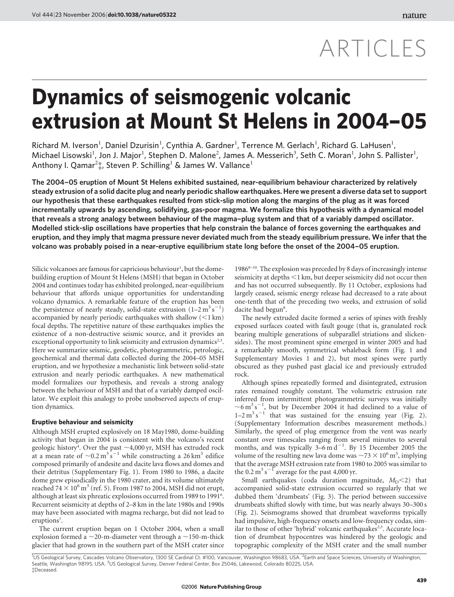# ARTICLES

# Dynamics of seismogenic volcanic extrusion at Mount St Helens in 2004–05

Richard M. Iverson<sup>1</sup>, Daniel Dzurisin<sup>1</sup>, Cynthia A. Gardner<sup>1</sup>, Terrence M. Gerlach<sup>1</sup>, Richard G. LaHusen<sup>1</sup>, Michael Lisowski<sup>1</sup>, Jon J. Major<sup>1</sup>, Stephen D. Malone<sup>2</sup>, James A. Messerich<sup>3</sup>, Seth C. Moran<sup>1</sup>, John S. Pallister<sup>1</sup>, Anthony I. Qamar<sup>2</sup>‡, Steven P. Schilling<sup>1</sup> & James W. Vallance<sup>1</sup>

The 2004–05 eruption of Mount St Helens exhibited sustained, near-equilibrium behaviour characterized by relatively steady extrusion of a solid dacite plug and nearly periodic shallow earthquakes. Here we present a diverse data set to support our hypothesis that these earthquakes resulted from stick-slip motion along the margins of the plug as it was forced incrementally upwards by ascending, solidifying, gas-poor magma. We formalize this hypothesis with a dynamical model that reveals a strong analogy between behaviour of the magma–plug system and that of a variably damped oscillator. Modelled stick-slip oscillations have properties that help constrain the balance of forces governing the earthquakes and eruption, and they imply that magma pressure never deviated much from the steady equilibrium pressure. We infer that the volcano was probably poised in a near-eruptive equilibrium state long before the onset of the 2004–05 eruption.

Silicic volcanoes are famous for capricious behaviour<sup>1</sup>, but the domebuilding eruption of Mount St Helens (MSH) that began in October 2004 and continues today has exhibited prolonged, near-equilibrium behaviour that affords unique opportunities for understanding volcano dynamics. A remarkable feature of the eruption has been the persistence of nearly steady, solid-state extrusion  $(1-2 \text{ m}^3 \text{ s}^{-1})$ accompanied by nearly periodic earthquakes with shallow  $(<1 \text{ km})$ focal depths. The repetitive nature of these earthquakes implies the existence of a non-destructive seismic source, and it provides an exceptional opportunity to link seismicity and extrusion dynamics<sup>2,3</sup>. Here we summarize seismic, geodetic, photogrammetric, petrologic, geochemical and thermal data collected during the 2004–05 MSH eruption, and we hypothesize a mechanistic link between solid-state extrusion and nearly periodic earthquakes. A new mathematical model formalizes our hypothesis, and reveals a strong analogy between the behaviour of MSH and that of a variably damped oscillator. We exploit this analogy to probe unobserved aspects of eruption dynamics.

#### Eruptive behaviour and seismicity

Although MSH erupted explosively on 18 May1980, dome-building activity that began in 2004 is consistent with the volcano's recent geologic history<sup>4</sup>. Over the past  $\sim$ 4,000 yr, MSH has extruded rock at a mean rate of  $\sim$ 0.2 m<sup>3</sup> s<sup>-1</sup> while constructing a 26 km<sup>3</sup> edifice composed primarily of andesite and dacite lava flows and domes and their detritus (Supplementary Fig. 1). From 1980 to 1986, a dacite dome grew episodically in the 1980 crater, and its volume ultimately reached 74  $\times$  10<sup>6</sup> m<sup>3</sup> (ref. 5). From 1987 to 2004, MSH did not erupt, although at least six phreatic explosions occurred from 1989 to 1991<sup>6</sup>. Recurrent seismicity at depths of 2–8 km in the late 1980s and 1990s may have been associated with magma recharge, but did not lead to eruptions<sup>7</sup>.

The current eruption began on 1 October 2004, when a small explosion formed a  $\sim$ 20-m-diameter vent through a  $\sim$ 150-m-thick glacier that had grown in the southern part of the MSH crater since  $1986^{8-10}$ . The explosion was preceded by 8 days of increasingly intense seismicity at depths  $<$ 1 km, but deeper seismicity did not occur then and has not occurred subsequently. By 11 October, explosions had largely ceased, seismic energy release had decreased to a rate about one-tenth that of the preceding two weeks, and extrusion of solid dacite had begun<sup>8</sup>.

The newly extruded dacite formed a series of spines with freshly exposed surfaces coated with fault gouge (that is, granulated rock bearing multiple generations of subparallel striations and slickensides). The most prominent spine emerged in winter 2005 and had a remarkably smooth, symmetrical whaleback form (Fig. 1 and Supplementary Movies 1 and 2), but most spines were partly obscured as they pushed past glacial ice and previously extruded rock.

Although spines repeatedly formed and disintegrated, extrusion rates remained roughly constant. The volumetric extrusion rate inferred from intermittent photogrammetric surveys was initially  $\sim$ 6 m<sup>3</sup> s<sup>-1</sup>, but by December 2004 it had declined to a value of  $1-2 \text{ m}^3 \text{ s}^{-1}$  that was sustained for the ensuing year (Fig. 2). (Supplementary Information describes measurement methods.) Similarly, the speed of plug emergence from the vent was nearly constant over timescales ranging from several minutes to several months, and was typically  $3-6$  m d<sup>-1</sup>. By 15 December 2005 the volume of the resulting new lava dome was  $\sim$ 73  $\times$  10<sup>6</sup> m<sup>3</sup>, implying that the average MSH extrusion rate from 1980 to 2005 was similar to the 0.2  $\text{m}^3 \text{s}^{-1}$  average for the past 4,000 yr.

Small earthquakes (coda duration magnitude,  $M_D < 2$ ) that accompanied solid-state extrusion occurred so regularly that we dubbed them 'drumbeats' (Fig. 3). The period between successive drumbeats shifted slowly with time, but was nearly always 30–300 s (Fig. 2). Seismograms showed that drumbeat waveforms typically had impulsive, high-frequency onsets and low-frequency codas, similar to those of other 'hybrid' volcanic earthquakes<sup>2,3</sup>. Accurate location of drumbeat hypocentres was hindered by the geologic and topographic complexity of the MSH crater and the small number

<sup>{</sup>Deceased. <sup>1</sup>US Geological Survey, Cascades Volcano Observatory, 1300 SE Cardinal Ct. #100, Vancouver, Washington 98683, USA. <sup>2</sup>Earth and Space Sciences, University of Washington,<br>Seattle, Washington 98195, USA. <sup>3</sup>US Geological Su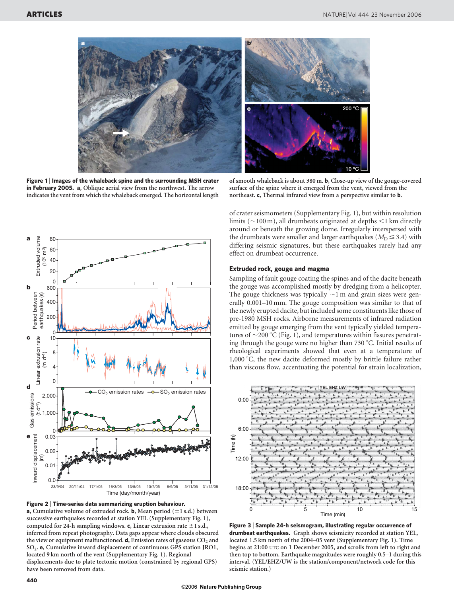

Figure 1 | Images of the whaleback spine and the surrounding MSH crater in February 2005. a, Oblique aerial view from the northwest. The arrow indicates the vent from which the whaleback emerged. The horizontal length

of smooth whaleback is about 380 m. b, Close-up view of the gouge-covered surface of the spine where it emerged from the vent, viewed from the northeast. c, Thermal infrared view from a perspective similar to b.



Figure 2 <sup>|</sup> Time-series data summarizing eruption behaviour. **a**, Cumulative volume of extruded rock. **b**, Mean period  $(\pm 1 \text{ s.d.})$  between successive earthquakes recorded at station YEL (Supplementary Fig. 1), computed for 24-h sampling windows. c, Linear extrusion rate  $\pm 1$  s.d., inferred from repeat photography. Data gaps appear where clouds obscured the view or equipment malfunctioned.  $d$ , Emission rates of gaseous  $CO<sub>2</sub>$  and SO2. e, Cumulative inward displacement of continuous GPS station JRO1, located 9 km north of the vent (Supplementary Fig. 1). Regional displacements due to plate tectonic motion (constrained by regional GPS) have been removed from data.

of crater seismometers (Supplementary Fig. 1), but within resolution limits ( $\sim$ 100 m), all drumbeats originated at depths  $\leq$ 1 km directly around or beneath the growing dome. Irregularly interspersed with the drumbeats were smaller and larger earthquakes ( $M_D \leq 3.4$ ) with differing seismic signatures, but these earthquakes rarely had any effect on drumbeat occurrence.

## Extruded rock, gouge and magma

Sampling of fault gouge coating the spines and of the dacite beneath the gouge was accomplished mostly by dredging from a helicopter. The gouge thickness was typically  $\sim$ 1 m and grain sizes were generally 0.001–10 mm. The gouge composition was similar to that of the newly erupted dacite, but included some constituents like those of pre-1980 MSH rocks. Airborne measurements of infrared radiation emitted by gouge emerging from the vent typically yielded temperatures of  $\sim$ 200 °C (Fig. 1), and temperatures within fissures penetrating through the gouge were no higher than  $730\,^{\circ}\text{C}$ . Initial results of rheological experiments showed that even at a temperature of 1,000 $\degree$ C, the new dacite deformed mostly by brittle failure rather than viscous flow, accentuating the potential for strain localization,



Figure 3 <sup>|</sup> Sample 24-h seismogram, illustrating regular occurrence of drumbeat earthquakes. Graph shows seismicity recorded at station YEL, located 1.5 km north of the 2004–05 vent (Supplementary Fig. 1). Time begins at 21:00 UTC on 1 December 2005, and scrolls from left to right and then top to bottom. Earthquake magnitudes were roughly 0.5–1 during this interval. (YEL/EHZ/UW is the station/component/network code for this seismic station.)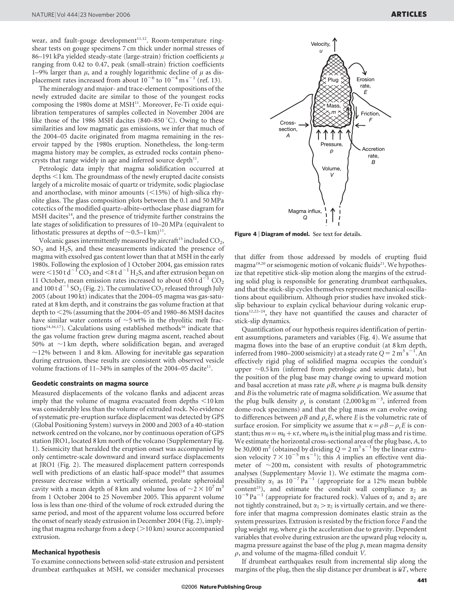placement rates increased from about  $10^{-6}$  to  $10^{-4}$  m s<sup>-1</sup> (ref. 13). The mineralogy and major- and trace-element compositions of the newly extruded dacite are similar to those of the youngest rocks composing the 1980s dome at  $MSH<sup>11</sup>$ . Moreover, Fe-Ti oxide equilibration temperatures of samples collected in November 2004 are like those of the 1986 MSH dacites (840–850 °C). Owing to these similarities and low magmatic gas emissions, we infer that much of the 2004–05 dacite originated from magma remaining in the reservoir tapped by the 1980s eruption. Nonetheless, the long-term magma history may be complex, as extruded rocks contain phenocrysts that range widely in age and inferred source depth $11$ .

Petrologic data imply that magma solidification occurred at depths  $\leq$ 1 km. The groundmass of the newly erupted dacite consists largely of a microlite mosaic of quartz or tridymite, sodic plagioclase and anorthoclase, with minor amounts  $\left($  < 15%) of high-silica rhyolite glass. The glass composition plots between the 0.1 and 50 MPa cotectics of the modified quartz–albite–orthoclase phase diagram for  $MSH$  dacites<sup>14</sup>, and the presence of tridymite further constrains the late stages of solidification to pressures of 10–20 MPa (equivalent to lithostatic pressures at depths of  $\sim$  0.5–1 km)<sup>11</sup>.

Volcanic gases intermittently measured by aircraft<sup>15</sup> included  $CO<sub>2</sub>$ ,  $SO<sub>2</sub>$  and H<sub>2</sub>S, and these measurements indicated the presence of magma with exsolved gas content lower than that at MSH in the early 1980s. Following the explosion of 1 October 2004, gas emission rates were  $\leq 150$  t d<sup>-1</sup>CO<sub>2</sub> and  $\leq 8$  t d<sup>-1</sup>H<sub>2</sub>S, and after extrusion began on 11 October, mean emission rates increased to about  $650 \text{ t d}^{-1}$  CO<sub>2</sub> and 100 t  $d^{-1}$  SO<sub>2</sub> (Fig. 2). The cumulative CO<sub>2</sub> released through July 2005 (about 190 kt) indicates that the 2004–05 magma was gas-saturated at 8 km depth, and it constrains the gas volume fraction at that depth to  $\leq$ 2% (assuming that the 2004–05 and 1980–86 MSH dacites have similar water contents of  $\sim$ 5 wt% in the rhyolitic melt fractions<sup>14,16,17</sup>). Calculations using established methods<sup>16</sup> indicate that the gas volume fraction grew during magma ascent, reached about 50% at  $\sim$ 1 km depth, where solidification began, and averaged  $\sim$ 12% between 1 and 8 km. Allowing for inevitable gas separation during extrusion, these results are consistent with observed vesicle volume fractions of  $11-34\%$  in samples of the 2004–05 dacite<sup>11</sup>.

#### Geodetic constraints on magma source

Measured displacements of the volcano flanks and adjacent areas imply that the volume of magma evacuated from depths  $\leq$ 10 km was considerably less than the volume of extruded rock. No evidence of systematic pre-eruption surface displacement was detected by GPS (Global Positioning System) surveys in 2000 and 2003 of a 40-station network centred on the volcano, nor by continuous operation of GPS station JRO1, located 8 km north of the volcano (Supplementary Fig. 1). Seismicity that heralded the eruption onset was accompanied by only centimetre-scale downward and inward surface displacements at JRO1 (Fig. 2). The measured displacement pattern corresponds well with predictions of an elastic half-space model<sup>18</sup> that assumes pressure decrease within a vertically oriented, prolate spheroidal cavity with a mean depth of 8 km and volume loss of  $\sim$  2  $\times$  10<sup>7</sup> m<sup>3</sup> from 1 October 2004 to 25 November 2005. This apparent volume loss is less than one-third of the volume of rock extruded during the same period, and most of the apparent volume loss occurred before the onset of nearly steady extrusion in December 2004 (Fig. 2), implying that magma recharge from a deep  $(>10 \text{ km})$  source accompanied extrusion.

#### Mechanical hypothesis

To examine connections between solid-state extrusion and persistent drumbeat earthquakes at MSH, we consider mechanical processes



Figure 4 | Diagram of model. See text for details.

that differ from those addressed by models of erupting fluid magma<sup>19,20</sup> or seismogenic motion of volcanic fluids<sup>21</sup>. We hypothesize that repetitive stick-slip motion along the margins of the extruding solid plug is responsible for generating drumbeat earthquakes, and that the stick-slip cycles themselves represent mechanical oscillations about equilibrium. Although prior studies have invoked stickslip behaviour to explain cyclical behaviour during volcanic eruptions12,22–24, they have not quantified the causes and character of stick-slip dynamics.

Quantification of our hypothesis requires identification of pertinent assumptions, parameters and variables (Fig. 4). We assume that magma flows into the base of an eruptive conduit (at 8 km depth, inferred from 1980–2000 seismicity) at a steady rate  $Q = 2 m^3 s^{-1}$ . An effectively rigid plug of solidified magma occupies the conduit's upper  $\sim$ 0.5 km (inferred from petrologic and seismic data), but the position of the plug base may change owing to upward motion and basal accretion at mass rate  $\rho$ B, where  $\rho$  is magma bulk density and  $B$  is the volumetric rate of magma solidification. We assume that the plug bulk density  $\rho_r$  is constant (2,000 kg m<sup>-3</sup>, inferred from dome-rock specimens) and that the plug mass  $m$  can evolve owing to differences between  $\rho B$  and  $\rho_r E$ , where E is the volumetric rate of surface erosion. For simplicity we assume that  $\kappa = \rho B - \rho_r E$  is constant; thus  $m=m_0+\kappa t$ , where  $m_0$  is the initial plug mass and t is time. We estimate the horizontal cross-sectional area of the plug base, A, to be 30,000 m<sup>2</sup> (obtained by dividing  $Q = 2 \text{ m}^3 \text{ s}^{-1}$  by the linear extrusion velocity  $7 \times 10^{-5}$  ms<sup>-1</sup>); this A implies an effective vent diameter of  $\sim$ 200 m, consistent with results of photogrammetric analyses (Supplementary Movie 1). We estimate the magma compressibility  $\alpha_1$  as  $10^{-7}$  Pa<sup> $-1$ </sup> (appropriate for a 12% mean bubble content<sup>25</sup>), and estimate the conduit wall compliance  $\alpha_2$  as  $10^{-9}$  Pa<sup>-1</sup> (appropriate for fractured rock). Values of  $\alpha_1$  and  $\alpha_2$  are not tightly constrained, but  $\alpha_1 > \alpha_2$  is virtually certain, and we therefore infer that magma compression dominates elastic strain as the system pressurizes. Extrusion is resisted by the friction force F and the plug weight mg, where g is the acceleration due to gravity. Dependent variables that evolve during extrusion are the upward plug velocity u, magma pressure against the base of the plug  $p$ , mean magma density  $\rho$ , and volume of the magma-filled conduit V.

If drumbeat earthquakes result from incremental slip along the margins of the plug, then the slip distance per drumbeat is  $\bar{u}T$ , where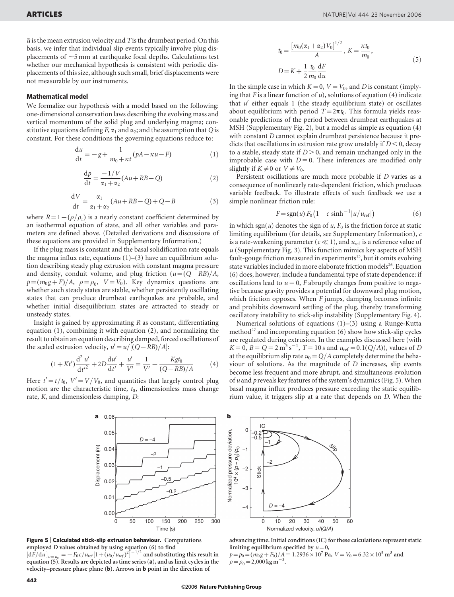$\bar{u}$  is the mean extrusion velocity and T is the drumbeat period. On this basis, we infer that individual slip events typically involve plug displacements of  $\sim$ 5 mm at earthquake focal depths. Calculations test whether our mechanical hypothesis is consistent with periodic displacements of this size, although such small, brief displacements were not measurable by our instruments.

#### Mathematical model

We formalize our hypothesis with a model based on the following: one-dimensional conservation laws describing the evolving mass and vertical momentum of the solid plug and underlying magma; constitutive equations defining F,  $\alpha_1$  and  $\alpha_2$ ; and the assumption that Q is constant. For these conditions the governing equations reduce to:

$$
\frac{du}{dt} = -g + \frac{1}{m_0 + \kappa t} (pA - \kappa u - F)
$$
 (1)

$$
\frac{\mathrm{d}p}{\mathrm{d}t} = \frac{-1/V}{\alpha_1 + \alpha_2} (Au + RB - Q) \tag{2}
$$

$$
\frac{\mathrm{d}V}{\mathrm{d}t} = \frac{\alpha_1}{\alpha_1 + \alpha_2} (Au + RB - Q) + Q - B \tag{3}
$$

where  $R=1-(\rho/\rho_r)$  is a nearly constant coefficient determined by an isothermal equation of state, and all other variables and parameters are defined above. (Detailed derivations and discussions of these equations are provided in Supplementary Information.)

If the plug mass is constant and the basal solidification rate equals the magma influx rate, equations  $(1)$ – $(3)$  have an equilibrium solution describing steady plug extrusion with constant magma pressure and density, conduit volume, and plug friction  $(u=(Q-RB)/A,$  $p=(m_0g+F)/A$ ,  $\rho=\rho_0$ ,  $V=V_0$ ). Key dynamics questions are whether such steady states are stable, whether persistently oscillating states that can produce drumbeat earthquakes are probable, and whether initial disequilibrium states are attracted to steady or unsteady states.

Insight is gained by approximating  $R$  as constant, differentiating equation (1), combining it with equation (2), and normalizing the result to obtain an equation describing damped, forced oscillations of the scaled extrusion velocity,  $u' = u/[(Q - RB)/A]$ :

$$
(1+Kt')\frac{d^2 u'}{dt'^2} + 2D\frac{du'}{dt'} + \frac{u'}{V'} = \frac{1}{V'} - \frac{Kgt_0}{(Q-RB)/A}
$$
(4)

Here  $t' = t/t_0$ ,  $V' = V/V_0$ , and quantities that largely control plug motion are the characteristic time,  $t_0$ , dimensionless mass change rate, K, and dimensionless damping, D:

$$
t_0 = \frac{[m_0(\alpha_1 + \alpha_2)V_0]^{1/2}}{A}, K = \frac{\kappa t_0}{m_0},
$$
  

$$
D = K + \frac{1}{2} \frac{t_0}{m_0} \frac{dF}{du}
$$
 (5)

 $1/2$ 

In the simple case in which  $K=0$ ,  $V=V_0$ , and D is constant (implying that F is a linear function of  $u$ ), solutions of equation (4) indicate that  $u'$  either equals 1 (the steady equilibrium state) or oscillates about equilibrium with period  $T=2\pi t_0$ . This formula yields reasonable predictions of the period between drumbeat earthquakes at MSH (Supplementary Fig. 2), but a model as simple as equation (4) with constant D cannot explain drumbeat persistence because it predicts that oscillations in extrusion rate grow unstably if  $D < 0$ , decay to a stable, steady state if  $D > 0$ , and remain unchanged only in the improbable case with  $D = 0$ . These inferences are modified only slightly if  $K \neq 0$  or  $V \neq V_0$ .

Persistent oscillations are much more probable if D varies as a consequence of nonlinearly rate-dependent friction, which produces variable feedback. To illustrate effects of such feedback we use a simple nonlinear friction rule:

$$
F = \operatorname{sgn}(u) F_0 \left( 1 - c \sinh^{-1} |u/u_{\text{ref}}| \right) \tag{6}
$$

in which sgn(u) denotes the sign of u,  $F_0$  is the friction force at static limiting equilibrium (for details, see Supplementary Information), c is a rate-weakening parameter ( $c \ll 1$ ), and  $u_{ref}$  is a reference value of  $u$  (Supplementary Fig. 3). This function mimics key aspects of MSH fault-gouge friction measured in experiments $13$ , but it omits evolving state variables included in more elaborate friction models<sup>26</sup>. Equation (6) does, however, include a fundamental type of state dependence: if oscillations lead to  $u = 0$ , F abruptly changes from positive to negative because gravity provides a potential for downward plug motion, which friction opposes. When  $F$  jumps, damping becomes infinite and prohibits downward settling of the plug, thereby transforming oscillatory instability to stick-slip instability (Supplementary Fig. 4).

Numerical solutions of equations (1)–(3) using a Runge-Kutta method<sup>27</sup> and incorporating equation  $(6)$  show how stick-slip cycles are regulated during extrusion. In the examples discussed here (with  $K = 0$ ,  $B = Q = 2 \text{ m}^3 \text{s}^{-1}$ ,  $T = 10 \text{ s}$  and  $u_{\text{ref}} = 0.1(Q/A)$ , values of D at the equilibrium slip rate  $u_0=Q/A$  completely determine the behaviour of solutions. As the magnitude of D increases, slip events become less frequent and more abrupt, and simultaneous evolution of u and p reveals key features of the system's dynamics (Fig. 5). When basal magma influx produces pressure exceeding the static equilibrium value, it triggers slip at a rate that depends on D. When the



**Figure 5** | **Calculated stick-slip extrusion behaviour.** Computations  
employed *D* values obtained by using equation (6) to find  

$$
[dF/du]_{u=u_0} = -F_0 c/u_{ref}[1 + (u_0/u_{ref})^2]^{-1/2}
$$
 and substituting this result in  
equation (5). Results are depicted as time series (**a**), and as limit cycles in the  
velocity–pressure phase plane (**b**). Arrows in **b** point in the direction of



advancing time. Initial conditions (IC) for these calculations represent static limiting equilibrium specified by  $u=0$ ,

 $p=p_0=(m_0g+F_0)/A = 1.2936\times10^7$  Pa,  $V=V_0=6.32\times10^5$  m<sup>3</sup> and  $\rho = \rho_0 = 2{,}000 \text{ kg m}^{-3}$ .